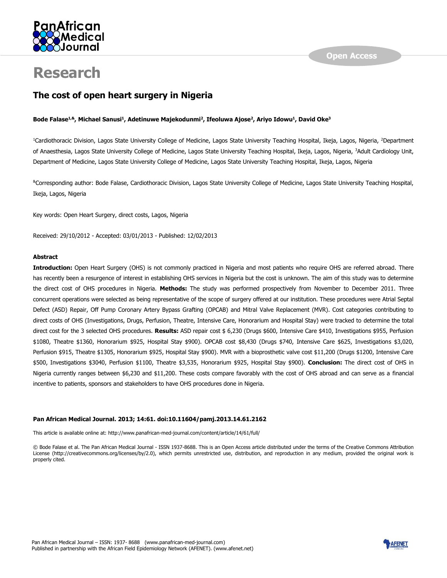

# **Research**

# **The cost of open heart surgery in Nigeria**

## **Bode Falase1,&, Michael Sanusi<sup>1</sup> , Adetinuwe Majekodunmi<sup>2</sup> , Ifeoluwa Ajose<sup>2</sup> , Ariyo Idowu<sup>1</sup> , David Oke<sup>3</sup>**

<sup>1</sup>Cardiothoracic Division, Lagos State University College of Medicine, Lagos State University Teaching Hospital, Ikeja, Lagos, Nigeria, <sup>2</sup>Department of Anaesthesia, Lagos State University College of Medicine, Lagos State University Teaching Hospital, Ikeja, Lagos, Nigeria, <sup>3</sup>Adult Cardiology Unit, Department of Medicine, Lagos State University College of Medicine, Lagos State University Teaching Hospital, Ikeja, Lagos, Nigeria

&Corresponding author: Bode Falase, Cardiothoracic Division, Lagos State University College of Medicine, Lagos State University Teaching Hospital, Ikeja, Lagos, Nigeria

Key words: Open Heart Surgery, direct costs, Lagos, Nigeria

Received: 29/10/2012 - Accepted: 03/01/2013 - Published: 12/02/2013

## **Abstract**

**Introduction:** Open Heart Surgery (OHS) is not commonly practiced in Nigeria and most patients who require OHS are referred abroad. There has recently been a resurgence of interest in establishing OHS services in Nigeria but the cost is unknown. The aim of this study was to determine the direct cost of OHS procedures in Nigeria. **Methods:** The study was performed prospectively from November to December 2011. Three concurrent operations were selected as being representative of the scope of surgery offered at our institution. These procedures were Atrial Septal Defect (ASD) Repair, Off Pump Coronary Artery Bypass Grafting (OPCAB) and Mitral Valve Replacement (MVR). Cost categories contributing to direct costs of OHS (Investigations, Drugs, Perfusion, Theatre, Intensive Care, Honorarium and Hospital Stay) were tracked to determine the total direct cost for the 3 selected OHS procedures. **Results:** ASD repair cost \$ 6,230 (Drugs \$600, Intensive Care \$410, Investigations \$955, Perfusion \$1080, Theatre \$1360, Honorarium \$925, Hospital Stay \$900). OPCAB cost \$8,430 (Drugs \$740, Intensive Care \$625, Investigations \$3,020, Perfusion \$915, Theatre \$1305, Honorarium \$925, Hospital Stay \$900). MVR with a bioprosthetic valve cost \$11,200 (Drugs \$1200, Intensive Care \$500, Investigations \$3040, Perfusion \$1100, Theatre \$3,535, Honorarium \$925, Hospital Stay \$900). **Conclusion:** The direct cost of OHS in Nigeria currently ranges between \$6,230 and \$11,200. These costs compare favorably with the cost of OHS abroad and can serve as a financial incentive to patients, sponsors and stakeholders to have OHS procedures done in Nigeria.

#### **Pan African Medical Journal. 2013; 14:61. doi:10.11604/pamj.2013.14.61.2162**

This article is available online at: http://www.panafrican-med-journal.com/content/article/14/61/full/

© Bode Falase et al. The Pan African Medical Journal - ISSN 1937-8688. This is an Open Access article distributed under the terms of the Creative Commons Attribution License (http://creativecommons.org/licenses/by/2.0), which permits unrestricted use, distribution, and reproduction in any medium, provided the original work is properly cited.

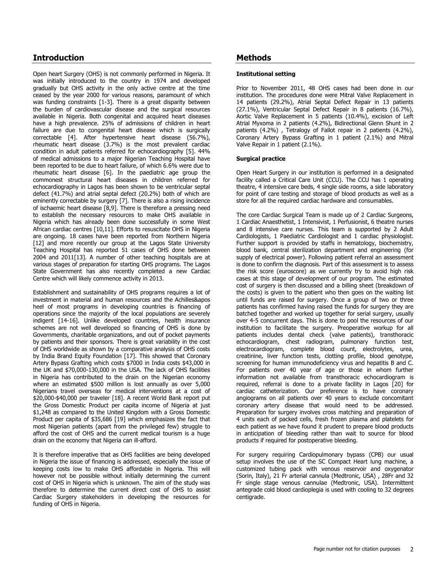# **Introduction**

Open heart Surgery (OHS) is not commonly performed in Nigeria. It was initially introduced to the country in 1974 and developed gradually but OHS activity in the only active centre at the time ceased by the year 2000 for various reasons, paramount of which was funding constraints [\[1-3\]](#page-4-0). There is a great disparity between the burden of cardiovascular disease and the surgical resources available in Nigeria. Both congenital and acquired heart diseases have a high prevalence. 25% of admissions of children in heart failure are due to congenital heart disease which is surgically correctable [\[4\]](#page-5-0). After hypertensive heart disease (56.7%), rheumatic heart disease (3.7%) is the most prevalent cardiac condition in adult patients referred for echocardiography [\[5\]](#page-5-1). 44% of medical admissions to a major Nigerian Teaching Hospital have been reported to be due to heart failure, of which 6.6% were due to rheumatic heart disease [\[6\]](#page-5-2). In the paediatric age group the commonest structural heart diseases in children referred for echocardiography in Lagos has been shown to be ventricular septal defect (41.7%) and atrial septal defect (20.2%) both of which are eminently correctable by surgery [\[7\]](#page-5-3). There is also a rising incidence of ischaemic heart disease [\[8,](#page-5-4)[9\]](#page-5-5). There is therefore a pressing need to establish the necessary resources to make OHS available in Nigeria which has already been done successfully in some West African cardiac centres [\[10,](#page-5-6)[11\]](#page-5-7). Efforts to resuscitate OHS in Nigeria are ongoing. 18 cases have been reported from Northern Nigeria [\[12\]](#page-5-8) and more recently our group at the Lagos State University Teaching Hospital has reported 51 cases of OHS done between 2004 and 2011[\[13\]](#page-5-9). A number of other teaching hospitals are at various stages of preparation for starting OHS programs. The Lagos State Government has also recently completed a new Cardiac Centre which will likely commence activity in 2013.

Establishment and sustainability of OHS programs requires a lot of investment in material and human resources and the Achilles&apos heel of most programs in developing countries is financing of operations since the majority of the local populations are severely indigent [14-16]. Unlike developed countries, health insurance schemes are not well developed so financing of OHS is done by Governments, charitable organizations, and out of pocket payments by patients and their sponsors. There is great variability in the cost of OHS worldwide as shown by a comparative analysis of OHS costs by India Brand Equity Foundation [\[17\]](#page-5-10). This showed that Coronary Artery Bypass Grafting which costs \$7000 in India costs \$43,000 in the UK and \$70,000-130,000 in the USA. The lack of OHS facilities in Nigeria has contributed to the drain on the Nigerian economy where an estimated \$500 million is lost annually as over 5,000 Nigerians travel overseas for medical interventions at a cost of \$20,000-\$40,000 per traveler [\[18\]](#page-5-11). A recent World Bank report put the Gross Domestic Product per capita income of Nigeria at just \$1,248 as compared to the United Kingdom with a Gross Domestic Product per capita of \$35,686 [\[19\]](#page-5-12) which emphasizes the fact that most Nigerian patients (apart from the privileged few) struggle to afford the cost of OHS and the current medical tourism is a huge drain on the economy that Nigeria can ill-afford.

It is therefore imperative that as OHS facilities are being developed in Nigeria the issue of financing is addressed, especially the issue of keeping costs low to make OHS affordable in Nigeria. This will however not be possible without initially determining the current cost of OHS in Nigeria which is unknown. The aim of the study was therefore to determine the current direct cost of OHS to assist Cardiac Surgery stakeholders in developing the resources for funding of OHS in Nigeria.

# **Methods**

### **Institutional setting**

Prior to November 2011, 48 OHS cases had been done in our institution. The procedures done were Mitral Valve Replacement in 14 patients (29.2%), Atrial Septal Defect Repair in 13 patients (27.1%), Ventricular Septal Defect Repair in 8 patients (16.7%), Aortic Valve Replacement in 5 patients (10.4%), excision of Left Atrial Myxoma in 2 patients (4.2%), Bidirectional Glenn Shunt in 2 patients (4.2%) , Tetralogy of Fallot repair in 2 patients (4.2%), Coronary Artery Bypass Grafting in 1 patient (2.1%) and Mitral Valve Repair in 1 patient (2.1%).

## **Surgical practice**

Open Heart Surgery in our institution is performed in a designated facility called a Critical Care Unit (CCU). The CCU has 1 operating theatre, 4 intensive care beds, 4 single side rooms, a side laboratory for point of care testing and storage of blood products as well as a store for all the required cardiac hardware and consumables.

The core Cardiac Surgical Team is made up of 2 Cardiac Surgeons, 1 Cardiac Anaesthetist, 1 Intensivist, 1 Perfusionist, 6 theatre nurses and 8 intensive care nurses. This team is supported by 2 Adult Cardiologists, 1 Paediatric Cardiologist and 1 cardiac physiologist. Further support is provided by staffs in hematology, biochemistry, blood bank, central sterilization department and engineering (for supply of electrical power). Following patient referral an assessment is done to confirm the diagnosis. Part of this assessment is to assess the risk score (euroscore) as we currently try to avoid high risk cases at this stage of development of our program. The estimated cost of surgery is then discussed and a billing sheet (breakdown of the costs) is given to the patient who then goes on the waiting list until funds are raised for surgery. Once a group of two or three patients has confirmed having raised the funds for surgery they are batched together and worked up together for serial surgery, usually over 4-5 concurrent days. This is done to pool the resources of our institution to facilitate the surgery. Preoperative workup for all patients includes dental check (valve patients), transthoracic echocardiogram, chest radiogram, pulmonary function test, electrocardiogram, complete blood count, electrolytes, urea, creatinine, liver function tests, clotting profile, blood genotype, screening for human immunodeficiency virus and hepatitis B and C. For patients over 40 year of age or those in whom further information not available from transthoracic echocardiogram is required, referral is done to a private facility in Lagos [\[20\]](#page-5-13) for cardiac catheterization. Our preference is to have coronary angiograms on all patients over 40 years to exclude concomitant coronary artery disease that would need to be addressed. Preparation for surgery involves cross matching and preparation of 4 units each of packed cells, fresh frozen plasma and platelets for each patient as we have found it prudent to prepare blood products in anticipation of bleeding rather than wait to source for blood products if required for postoperative bleeding.

For surgery requiring Cardiopulmonary bypass (CPB) our usual setup involves the use of the SC Compact Heart lung machine, a customized tubing pack with venous reservoir and oxygenator (Sorin, Italy), 21 Fr arterial cannula (Medtronic, USA) , 28Fr and 32 Fr single stage venous cannulae (Medtronic, USA). Intermittent antegrade cold blood cardioplegia is used with cooling to 32 degrees centigrade.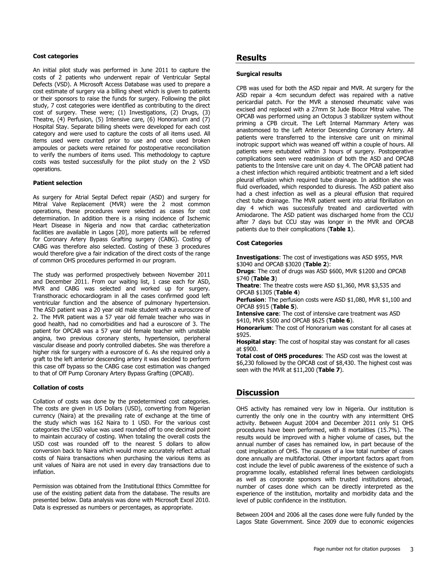#### **Cost categories**

An initial pilot study was performed in June 2011 to capture the costs of 2 patients who underwent repair of Ventricular Septal Defects (VSD). A Microsoft Access Database was used to prepare a cost estimate of surgery via a billing sheet which is given to patients or their sponsors to raise the funds for surgery. Following the pilot study, 7 cost categories were identified as contributing to the direct cost of surgery. These were; (1) Investigations, (2) Drugs, (3) Theatre, (4) Perfusion, (5) Intensive care, (6) Honorarium and (7) Hospital Stay. Separate billing sheets were developed for each cost category and were used to capture the costs of all items used. All items used were counted prior to use and once used broken ampoules or packets were retained for postoperative reconciliation to verify the numbers of items used. This methodology to capture costs was tested successfully for the pilot study on the 2 VSD operations.

#### **Patient selection**

As surgery for Atrial Septal Defect repair (ASD) and surgery for Mitral Valve Replacement (MVR) were the 2 most common operations, these procedures were selected as cases for cost determination. In addition there is a rising incidence of Ischemic Heart Disease in Nigeria and now that cardiac catheterization facilities are available in Lagos [\[20\]](#page-5-13), more patients will be referred for Coronary Artery Bypass Grafting surgery (CABG). Costing of CABG was therefore also selected. Costing of these 3 procedures would therefore give a fair indication of the direct costs of the range of common OHS procedures performed in our program.

The study was performed prospectively between November 2011 and December 2011. From our waiting list, 1 case each for ASD, MVR and CABG was selected and worked up for surgery. Transthoracic echocardiogram in all the cases confirmed good left ventricular function and the absence of pulmonary hypertension. The ASD patient was a 20 year old male student with a euroscore of 2. The MVR patient was a 57 year old female teacher who was in good health, had no comorbidities and had a euroscore of 3. The patient for OPCAB was a 57 year old female teacher with unstable angina, two previous coronary stents, hypertension, peripheral vascular disease and poorly controlled diabetes. She was therefore a higher risk for surgery with a euroscore of 6. As she required only a graft to the left anterior descending artery it was decided to perform this case off bypass so the CABG case cost estimation was changed to that of Off Pump Coronary Artery Bypass Grafting (OPCAB).

#### **Collation of costs**

Collation of costs was done by the predetermined cost categories. The costs are given in US Dollars (USD), converting from Nigerian currency (Naira) at the prevailing rate of exchange at the time of the study which was 162 Naira to 1 USD. For the various cost categories the USD value was used rounded off to one decimal point to maintain accuracy of costing. When totaling the overall costs the USD cost was rounded off to the nearest 5 dollars to allow conversion back to Naira which would more accurately reflect actual costs of Naira transactions when purchasing the various items as unit values of Naira are not used in every day transactions due to inflation.

Permission was obtained from the Institutional Ethics Committee for use of the existing patient data from the database. The results are presented below. Data analysis was done with Microsoft Excel 2010. Data is expressed as numbers or percentages, as appropriate.

## **Results**

#### **Surgical results**

CPB was used for both the ASD repair and MVR. At surgery for the ASD repair a 4cm secundum defect was repaired with a native pericardial patch. For the MVR a stenosed rheumatic valve was excised and replaced with a 27mm St Jude Biocor Mitral valve. The OPCAB was performed using an Octopus 3 stabilizer system without priming a CPB circuit. The Left Internal Mammary Artery was anastomosed to the Left Anterior Descending Coronary Artery. All patients were transferred to the intensive care unit on minimal inotropic support which was weaned off within a couple of hours. All patients were extubated within 3 hours of surgery. Postoperative complications seen were readmission of both the ASD and OPCAB patients to the Intensive care unit on day 4. The OPCAB patient had a chest infection which required antibiotic treatment and a left sided pleural effusion which required tube drainage. In addition she was fluid overloaded, which responded to diuresis. The ASD patient also had a chest infection as well as a pleural effusion that required chest tube drainage. The MVR patient went into atrial fibrillation on day 4 which was successfully treated and cardioverted with Amiodarone. The ASD patient was discharged home from the CCU after 7 days but CCU stay was longer in the MVR and OPCAB patients due to their complications (**[Table 1](javascript:void(0))**).

#### **Cost Categories**

**Investigations**: The cost of investigations was ASD \$955, MVR \$3040 and OPCAB \$3020 (**[Table 2](javascript:void(0))**):

**Drugs**: The cost of drugs was ASD \$600, MVR \$1200 and OPCAB \$740 (**[Table 3](javascript:void(0))**)

**Theatre**: The theatre costs were ASD \$1,360, MVR \$3,535 and OPCAB \$1305 (**[Table 4](javascript:void(0))**)

**Perfusion**: The perfusion costs were ASD \$1,080, MVR \$1,100 and OPCAB \$915 (**[Table 5](javascript:void(0))**).

**Intensive care**: The cost of intensive care treatment was ASD \$410, MVR \$500 and OPCAB \$625 (**[Table 6](javascript:void(0))**).

**Honorarium**: The cost of Honorarium was constant for all cases at \$925.

**Hospital stay**: The cost of hospital stay was constant for all cases at \$900.

**Total cost of OHS procedures**: The ASD cost was the lowest at \$6,230 followed by the OPCAB cost of \$8,430. The highest cost was seen with the MVR at \$11,200 (**[Table 7](javascript:void(0))**).

## **Discussion**

OHS activity has remained very low in Nigeria. Our institution is currently the only one in the country with any intermittent OHS activity. Between August 2004 and December 2011 only 51 OHS procedures have been performed, with 8 mortalities (15.7%). The results would be improved with a higher volume of cases, but the annual number of cases has remained low, in part because of the cost implication of OHS. The causes of a low total number of cases done annually are multifactorial. Other important factors apart from cost include the level of public awareness of the existence of such a programme locally, established referral lines between cardiologists as well as corporate sponsors with trusted institutions abroad, number of cases done which can be directly interpreted as the experience of the institution, mortality and morbidity data and the level of public confidence in the institution.

Between 2004 and 2006 all the cases done were fully funded by the Lagos State Government. Since 2009 due to economic exigencies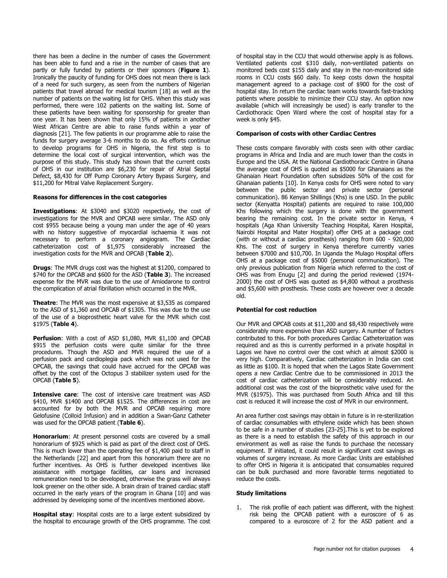there has been a decline in the number of cases the Government has been able to fund and a rise in the number of cases that are partly or fully funded by patients or their sponsors (**[Figure 1](javascript:PopupFigure()**). Ironically the paucity of funding for OHS does not mean there is lack of a need for such surgery, as seen from the numbers of Nigerian patients that travel abroad for medical tourism [\[18\]](#page-5-11) as well as the number of patients on the waiting list for OHS. When this study was performed, there were 102 patients on the waiting list. Some of these patients have been waiting for sponsorship for greater than one year. It has been shown that only 15% of patients in another West African Centre are able to raise funds within a year of diagnosis [\[21\]](#page-5-14). The few patients in our programme able to raise the funds for surgery average 3-6 months to do so. As efforts continue to develop programs for OHS in Nigeria, the first step is to determine the local cost of surgical intervention, which was the purpose of this study. This study has shown that the current costs of OHS in our institution are \$6,230 for repair of Atrial Septal Defect, \$8,430 for Off Pump Coronary Artery Bypass Surgery, and \$11,200 for Mitral Valve Replacement Surgery.

#### **Reasons for differences in the cost categories**

**Investigations**: At \$3040 and \$3020 respectively, the cost of investigations for the MVR and OPCAB were similar. The ASD only cost \$955 because being a young man under the age of 40 years with no history suggestive of myocardial ischaemia it was not necessary to perform a coronary angiogram. The Cardiac catheterization cost of \$1,975 considerably increased the investigation costs for the MVR and OPCAB (**[Table 2](javascript:void(0))**).

**Drugs**: The MVR drugs cost was the highest at \$1200, compared to \$740 for the OPCAB and \$600 for the ASD (**[Table 3](javascript:void(0))**). The increased expense for the MVR was due to the use of Amiodarone to control the complication of atrial fibrillation which occurred in the MVR.

**Theatre**: The MVR was the most expensive at \$3,535 as compared to the ASD of \$1,360 and OPCAB of \$1305. This was due to the use of the use of a bioprosthetic heart valve for the MVR which cost \$1975 (**[Table 4](javascript:void(0))**).

**Perfusion**: With a cost of ASD \$1,080, MVR \$1,100 and OPCAB \$915 the perfusion costs were quite similar for the three procedures. Though the ASD and MVR required the use of a perfusion pack and cardioplegia pack which was not used for the OPCAB, the savings that could have accrued for the OPCAB was offset by the cost of the Octopus 3 stabilizer system used for the OPCAB (**[Table 5](javascript:void(0))**).

**Intensive care**: The cost of intensive care treatment was ASD \$410, MVR \$1400 and OPCAB \$1525. The differences in cost are accounted for by both the MVR and OPCAB requiring more Gelofusine (Colloid Infusion) and in addition a Swan-Ganz Catheter was used for the OPCAB patient (**[Table 6](javascript:void(0))**).

**Honorarium**: At present personnel costs are covered by a small honorarium of \$925 which is paid as part of the direct cost of OHS. This is much lower than the operating fee of \$1,400 paid to staff in the Netherlands [\[22\]](#page-5-15) and apart from this honorarium there are no further incentives. As OHS is further developed incentives like assistance with mortgage facilities, car loans and increased remuneration need to be developed, otherwise the grass will always look greener on the other side. A brain drain of trained cardiac staff occurred in the early years of the program in Ghana [\[10\]](#page-5-6) and was addressed by developing some of the incentives mentioned above.

**Hospital stay**: Hospital costs are to a large extent subsidized by the hospital to encourage growth of the OHS programme. The cost

of hospital stay in the CCU that would otherwise apply is as follows. Ventilated patients cost \$310 daily, non-ventilated patients on monitored beds cost \$155 daily and stay in the non-monitored side rooms in CCU costs \$60 daily. To keep costs down the hospital management agreed to a package cost of \$900 for the cost of hospital stay. In return the cardiac team works towards fast-tracking patients where possible to minimize their CCU stay. An option now available (which will increasingly be used) is early transfer to the Cardiothoracic Open Ward where the cost of hospital stay for a week is only \$45.

#### **Comparison of costs with other Cardiac Centres**

These costs compare favorably with costs seen with other cardiac programs in Africa and India and are much lower than the costs in Europe and the USA. At the National Cardiothoracic Centre in Ghana the average cost of OHS is quoted as \$5000 for Ghanaians as the Ghanaian Heart Foundation often subsidizes 50% of the cost for Ghanaian patients [\[10\]](#page-5-6). In Kenya costs for OHS were noted to vary between the public sector and private sector (personal communication). 86 Kenyan Shillings (Khs) is one USD. In the public sector (Kenyatta Hospital) patients are required to raise 100,000 Khs following which the surgery is done with the government bearing the remaining cost. In the private sector in Kenya, 4 hospitals (Aga Khan University Teaching Hospital, Karen Hospital, Nairobi Hospital and Mater Hospital) offer OHS at a package cost (with or without a cardiac prosthesis) ranging from 600 - 920,000 Khs. The cost of surgery in Kenya therefore currently varies between \$7000 and \$10,700. In Uganda the Mulago Hospital offers OHS at a package cost of \$5000 (personal communication). The only previous publication from Nigeria which referred to the cost of OHS was from Enugu [\[2\]](#page-4-1) and during the period reviewed (1974- 2000) the cost of OHS was quoted as \$4,800 without a prosthesis and \$5,600 with prosthesis. These costs are however over a decade old.

#### **Potential for cost reduction**

Our MVR and OPCAB costs at \$11,200 and \$8,430 respectively were considerably more expensive than ASD surgery. A number of factors contributed to this. For both procedures Cardiac Catheterization was required and as this is currently performed in a private hospital in Lagos we have no control over the cost which at almost \$2000 is very high. Comparatively, Cardiac catheterization in India can cost as little as \$100. It is hoped that when the Lagos State Government opens a new Cardiac Centre due to be commissioned in 2013 the cost of cardiac catheterization will be considerably reduced. An additional cost was the cost of the bioprosthetic valve used for the MVR (\$1975). This was purchased from South Africa and till this cost is reduced it will increase the cost of MVR in our environment.

An area further cost savings may obtain in future is in re-sterilization of cardiac consumables with ethylene oxide which has been shown to be safe in a number of studies [\[23-25\]](#page-5-16).This is yet to be explored as there is a need to establish the safety of this approach in our environment as well as raise the funds to purchase the necessary equipment. If initiated, it could result in significant cost savings as volumes of surgery increase. As more Cardiac Units are established to offer OHS in Nigeria it is anticipated that consumables required can be bulk purchased and more favorable terms negotiated to reduce the costs.

#### **Study limitations**

1. The risk profile of each patient was different, with the highest risk being the OPCAB patient with a euroscore of 6 as compared to a euroscore of 2 for the ASD patient and a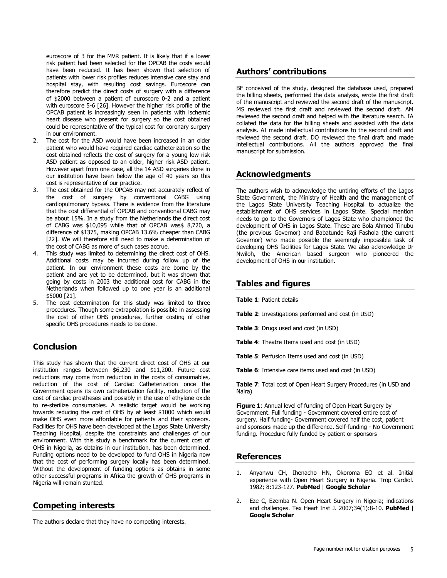euroscore of 3 for the MVR patient. It is likely that if a lower risk patient had been selected for the OPCAB the costs would have been reduced. It has been shown that selection of patients with lower risk profiles reduces intensive care stay and hospital stay, with resulting cost savings. Euroscore can therefore predict the direct costs of surgery with a difference of \$2000 between a patient of euroscore 0-2 and a patient with euroscore 5-6 [\[26\]](#page-5-17). However the higher risk profile of the OPCAB patient is increasingly seen in patients with ischemic heart disease who present for surgery so the cost obtained could be representative of the typical cost for coronary surgery in our environment.

- 2. The cost for the ASD would have been increased in an older patient who would have required cardiac catheterization so the cost obtained reflects the cost of surgery for a young low risk ASD patient as opposed to an older, higher risk ASD patient. However apart from one case, all the 14 ASD surgeries done in our institution have been below the age of 40 years so this cost is representative of our practice.
- 3. The cost obtained for the OPCAB may not accurately reflect of the cost of surgery by conventional CABG using cardiopulmonary bypass. There is evidence from the literature that the cost differential of OPCAB and conventional CABG may be about 15%. In a study from the Netherlands the direct cost of CABG was \$10,095 while that of OPCAB was\$ 8,720, a difference of \$1375, making OPCAB 13.6% cheaper than CABG [\[22\]](#page-5-15). We will therefore still need to make a determination of the cost of CABG as more of such cases accrue.
- 4. This study was limited to determining the direct cost of OHS. Additional costs may be incurred during follow up of the patient. In our environment these costs are borne by the patient and are yet to be determined, but it was shown that going by costs in 2003 the additional cost for CABG in the Netherlands when followed up to one year is an additional \$5000 [\[21\]](#page-5-14).
- 5. The cost determination for this study was limited to three procedures. Though some extrapolation is possible in assessing the cost of other OHS procedures, further costing of other specific OHS procedures needs to be done.

## **Conclusion**

This study has shown that the current direct cost of OHS at our institution ranges between \$6,230 and \$11,200. Future cost reductions may come from reduction in the costs of consumables, reduction of the cost of Cardiac Catheterization once the Government opens its own catheterization facility, reduction of the cost of cardiac prostheses and possibly in the use of ethylene oxide to re-sterilize consumables. A realistic target would be working towards reducing the cost of OHS by at least \$1000 which would make OHS even more affordable for patients and their sponsors. Facilities for OHS have been developed at the Lagos State University Teaching Hospital, despite the constraints and challenges of our environment. With this study a benchmark for the current cost of OHS in Nigeria, as obtains in our institution, has been determined. Funding options need to be developed to fund OHS in Nigeria now that the cost of performing surgery locally has been determined. Without the development of funding options as obtains in some other successful programs in Africa the growth of OHS programs in Nigeria will remain stunted.

## **Competing interests**

The authors declare that they have no competing interests.

# **Authors' contributions**

BF conceived of the study, designed the database used, prepared the billing sheets, performed the data analysis, wrote the first draft of the manuscript and reviewed the second draft of the manuscript. MS reviewed the first draft and reviewed the second draft. AM reviewed the second draft and helped with the literature search. IA collated the data for the billing sheets and assisted with the data analysis. AI made intellectual contributions to the second draft and reviewed the second draft. DO reviewed the final draft and made intellectual contributions. All the authors approved the final manuscript for submission.

# **Acknowledgments**

The authors wish to acknowledge the untiring efforts of the Lagos State Government, the Ministry of Health and the management of the Lagos State University Teaching Hospital to actualize the establishment of OHS services in Lagos State. Special mention needs to go to the Governors of Lagos State who championed the development of OHS in Lagos State. These are Bola Ahmed Tinubu (the previous Governor) and Babatunde Raji Fashola (the current Governor) who made possible the seemingly impossible task of developing OHS facilities for Lagos State. We also acknowledge Dr Nwiloh, the American based surgeon who pioneered the development of OHS in our institution.

# **Tables and figures**

**[Table 1](javascript:void(0))**: Patient details

- **[Table 2](javascript:void(0))**: Investigations performed and cost (in USD)
- **[Table 3](javascript:void(0))**: Drugs used and cost (in USD)
- **[Table 4](javascript:void(0))**: Theatre Items used and cost (in USD)
- **[Table 5](javascript:void(0))**: Perfusion Items used and cost (in USD)
- **[Table 6](javascript:void(0))**: Intensive care items used and cost (in USD)

**[Table 7](javascript:void(0))**: Total cost of Open Heart Surgery Procedures (in USD and Naira)

**[Figure 1](javascript:PopupFigure()**: Annual level of funding of Open Heart Surgery by Government. Full funding - Government covered entire cost of surgery. Half funding- Government covered half the cost, patient and sponsors made up the difference. Self-funding - No Government funding. Procedure fully funded by patient or sponsors

## **References**

- <span id="page-4-0"></span>1. Anyanwu CH, Ihenacho HN, Okoroma EO et al. Initial experience with Open Heart Surgery in Nigeria. Trop Cardiol. 1982; 8:123-127. **[PubMed](http://www.ncbi.nlm.nih.gov/entrez/query.fcgi?db=PubMed&cmd=Search&doptcmdl=Citation&defaultField=Title+Word&term=Anyanwu%20CH%5bauthor%5d+AND+Initial+experience+with+Open+Heart+Surgery+in+Nigeria)** | **[Google Scholar](http://scholar.google.com/scholar?hl=en&q=+Initial+experience+with+Open+Heart+Surgery+in+Nigeria)**
- <span id="page-4-1"></span>2. Eze C, Ezemba N. Open Heart Surgery in Nigeria; indications and challenges. Tex Heart Inst J. 2007;34(1):8-10. **[PubMed](http://www.ncbi.nlm.nih.gov/entrez/query.fcgi?db=PubMed&cmd=Search&doptcmdl=Citation&defaultField=Title+Word&term=Eze%20C%5bauthor%5d+AND+Open+Heart+Surgery+in+Nigeria;+indications+and+challenges)** | **[Google Scholar](http://scholar.google.com/scholar?hl=en&q=+Open+Heart+Surgery+in+Nigeria;+indications+and+challenges)**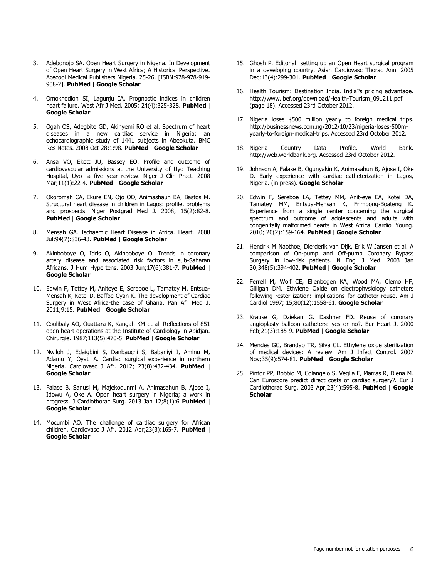- 3. Adebonojo SA. Open Heart Surgery in Nigeria. In Development of Open Heart Surgery in West Africa; A Historical Perspective. Acecool Medical Publishers Nigeria. 25-26. [ISBN:978-978-919- 908-2]. **[PubMed](http://www.ncbi.nlm.nih.gov/entrez/query.fcgi?db=PubMed&cmd=Search&doptcmdl=Citation&defaultField=Title+Word&term=Adebonojo%20SA%5bauthor%5d+AND+Open+Heart+Surgery+in+Nigeria)** | **[Google Scholar](http://scholar.google.com/scholar?hl=en&q=+Open+Heart+Surgery+in+Nigeria)**
- <span id="page-5-0"></span>4. Omokhodion SI, Lagunju IA. Prognostic indices in children heart failure. West Afr J Med. 2005; 24(4):325-328. **[PubMed](http://www.ncbi.nlm.nih.gov/entrez/query.fcgi?db=PubMed&cmd=Search&doptcmdl=Citation&defaultField=Title+Word&term=Omokhodion%20SI%5bauthor%5d+AND+Prognostic+indices+in+children+heart+failure)** | **[Google Scholar](http://scholar.google.com/scholar?hl=en&q=+Prognostic+indices+in+children+heart+failure)**
- <span id="page-5-1"></span>5. Ogah OS, Adegbite GD, Akinyemi RO et al. Spectrum of heart diseases in a new cardiac service in Nigeria: an echocardiographic study of 1441 subjects in Abeokuta. BMC Res Notes. 2008 Oct 28;1:98. **[PubMed](http://www.ncbi.nlm.nih.gov/entrez/query.fcgi?db=PubMed&cmd=Search&doptcmdl=Citation&defaultField=Title+Word&term=Ogah%20OS%5bauthor%5d+AND+Spectrum+of+heart+diseases+in+a+new+cardiac+service+in+Nigeria:+an+echocardiographic+study+of+1441+subjects+in+Abeokuta)** | **[Google Scholar](http://scholar.google.com/scholar?hl=en&q=+Spectrum+of+heart+diseases+in+a+new+cardiac+service+in+Nigeria:+an+echocardiographic+study+of+1441+subjects+in+Abeokuta)**
- <span id="page-5-2"></span>6. Ansa VO, Ekott JU, Bassey EO. Profile and outcome of cardiovascular admissions at the University of Uyo Teaching Hospital, Uyo- a five year review. Niger J Clin Pract. 2008 Mar;11(1):22-4. **[PubMed](http://www.ncbi.nlm.nih.gov/entrez/query.fcgi?db=PubMed&cmd=Search&doptcmdl=Citation&defaultField=Title+Word&term=Ansa%20VO%5bauthor%5d+AND+Profile+and+outcome+of+cardiovascular+admissions+at+the+University+of+Uyo+Teaching+Hospital+Uyo-+a+five+year+review)** | **[Google Scholar](http://scholar.google.com/scholar?hl=en&q=+Profile+and+outcome+of+cardiovascular+admissions+at+the+University+of+Uyo+Teaching+Hospital+Uyo-+a+five+year+review)**
- <span id="page-5-3"></span>7. Okoromah CA, Ekure EN, Ojo OO, Animashaun BA, Bastos M. Structural heart disease in children in Lagos: profile, problems and prospects. Niger Postgrad Med J. 2008; 15(2):82-8. **[PubMed](http://www.ncbi.nlm.nih.gov/entrez/query.fcgi?db=PubMed&cmd=Search&doptcmdl=Citation&defaultField=Title+Word&term=Okoromah%20CA%5bauthor%5d+AND+Structural+heart+disease+in+children+in+Lagos:+profile+problems+and+prospects)** | **[Google Scholar](http://scholar.google.com/scholar?hl=en&q=+Structural+heart+disease+in+children+in+Lagos:+profile+problems+and+prospects)**
- <span id="page-5-4"></span>8. Mensah GA. Ischaemic Heart Disease in Africa. Heart. 2008 Jul;94(7):836-43. **[PubMed](http://www.ncbi.nlm.nih.gov/entrez/query.fcgi?db=PubMed&cmd=Search&doptcmdl=Citation&defaultField=Title+Word&term=Mensah%20GA%5bauthor%5d+AND+Ischaemic+Heart+Disease+in+Africa)** | **[Google Scholar](http://scholar.google.com/scholar?hl=en&q=+Ischaemic+Heart+Disease+in+Africa)**
- <span id="page-5-5"></span>9. Akinboboye O, Idris O, Akinboboye O. Trends in coronary artery disease and associated risk factors in sub-Saharan Africans. J Hum Hypertens. 2003 Jun;17(6):381-7. **[PubMed](http://www.ncbi.nlm.nih.gov/entrez/query.fcgi?db=PubMed&cmd=Search&doptcmdl=Citation&defaultField=Title+Word&term=Akinboboye%20O%5bauthor%5d+AND+Trends+in+coronary+artery+disease+and+associated+risk+factors+in+sub-Saharan+Africans)** | **[Google Scholar](http://scholar.google.com/scholar?hl=en&q=+Trends+in+coronary+artery+disease+and+associated+risk+factors+in+sub-Saharan+Africans)**
- <span id="page-5-6"></span>10. Edwin F, Tettey M, Aniteye E, Sereboe L, Tamatey M, Entsua-Mensah K, Kotei D, Baffoe-Gyan K. The development of Cardiac Surgery in West Africa-the case of Ghana. Pan Afr Med J. 2011;9:15. **[PubMed](http://www.ncbi.nlm.nih.gov/entrez/query.fcgi?db=PubMed&cmd=Search&doptcmdl=Citation&defaultField=Title+Word&term=Edwin%20F%5bauthor%5d+AND+The+development+of+Cardiac+Surgery+in+West+Africa-the+case+of+Ghana)** | **[Google Scholar](http://scholar.google.com/scholar?hl=en&q=+The+development+of+Cardiac+Surgery+in+West+Africa-the+case+of+Ghana)**
- <span id="page-5-7"></span>11. Coulibaly AO, Ouattara K, Kangah KM et al. Reflections of 851 open heart operations at the Institute of Cardiology in Abidjan. Chirurgie. 1987;113(5):470-5. **[PubMed](http://www.ncbi.nlm.nih.gov/entrez/query.fcgi?db=PubMed&cmd=Search&doptcmdl=Citation&defaultField=Title+Word&term=Coulibaly%20AO%5bauthor%5d+AND+Reflections+of+851+open+heart+operations+at+the+Institute+of+Cardiology+in+Abidjan)** | **[Google Scholar](http://scholar.google.com/scholar?hl=en&q=+Reflections+of+851+open+heart+operations+at+the+Institute+of+Cardiology+in+Abidjan)**
- <span id="page-5-8"></span>12. Nwiloh J, Edaigbini S, Danbauchi S, Babaniyi I, Aminu M, Adamu Y, Oyati A. Cardiac surgical experience in northern Nigeria. Cardiovasc J Afr. 2012; 23(8):432-434. **[PubMed](http://www.ncbi.nlm.nih.gov/entrez/query.fcgi?db=PubMed&cmd=Search&doptcmdl=Citation&defaultField=Title+Word&term=Nwiloh%20J%5bauthor%5d+AND+Cardiac+surgical+experience+in+northern+Nigeria)** | **[Google Scholar](http://scholar.google.com/scholar?hl=en&q=+Cardiac+surgical+experience+in+northern+Nigeria)**
- <span id="page-5-9"></span>13. Falase B, Sanusi M, Majekodunmi A, Animasahun B, Ajose I, Idowu A, Oke A. Open heart surgery in Nigeria; a work in progress. J Cardiothorac Surg. 2013 Jan 12;8(1):6 **[PubMed](http://www.ncbi.nlm.nih.gov/entrez/query.fcgi?db=PubMed&cmd=Search&doptcmdl=Citation&defaultField=Title+Word&term=Falase%20B%5bauthor%5d+AND+Open+heart+surgery+in+Nigeria;+a+work+in+progress)** | **[Google Scholar](http://scholar.google.com/scholar?hl=en&q=Open+heart+surgery+in+Nigeria;+a+work+in+progress)**
- 14. Mocumbi AO. The challenge of cardiac surgery for African children. Cardiovasc J Afr. 2012 Apr;23(3):165-7. **[PubMed](http://www.ncbi.nlm.nih.gov/entrez/query.fcgi?db=PubMed&cmd=Search&doptcmdl=Citation&defaultField=Title+Word&term=Mocumbi%20AO%5bauthor%5d+AND+The+challenge+of+cardiac+surgery+for+African+children)** | **[Google Scholar](http://scholar.google.com/scholar?hl=en&q=+The+challenge+of+cardiac+surgery+for+African+children)**
- 15. Ghosh P. Editorial: setting up an Open Heart surgical program in a developing country. Asian Cardiovasc Thorac Ann. 2005 Dec;13(4):299-301. **[PubMed](http://www.ncbi.nlm.nih.gov/entrez/query.fcgi?db=PubMed&cmd=Search&doptcmdl=Citation&defaultField=Title+Word&term=Ghosh%20P%5bauthor%5d+AND+Editorial:+setting+up+an+Open+Heart+surgical+program+in+a+developing+country)** | **[Google Scholar](http://scholar.google.com/scholar?hl=en&q=+Editorial:+setting+up+an+Open+Heart+surgical+program+in+a+developing+country)**
- <span id="page-5-10"></span>16. Health Tourism: Destination India. India?s pricing advantage. http://www.ibef.org/download/Health-Tourism\_091211.pdf (page 18). Accessed 23rd October 2012.
- <span id="page-5-11"></span>17. Nigeria loses \$500 million yearly to foreign medical trips. http://businessnews.com.ng/2012/10/23/nigeria-loses-500myearly-to-foreign-medical-trips. Accessed 23rd October 2012.
- <span id="page-5-12"></span>18. Nigeria Country Data Profile. World Bank. http://web.worldbank.org. Accessed 23rd October 2012.
- <span id="page-5-13"></span>19. Johnson A, Falase B, Ogunyakin K, Animasahun B, Ajose I, Oke D. Early experience with cardiac catheterization in Lagos, Nigeria. (in press). **[Google Scholar](http://scholar.google.com/scholar?hl=en&q=+Early+experience+with+cardiac+catheterization+in+Lagos+Nigeria)**
- <span id="page-5-14"></span>20. Edwin F, Sereboe LA, Tettey MM, Anit-eye EA, Kotei DA, Tamatey MM, Entsua-Mensah K, Frimpong-Boateng K. Experience from a single center concerning the surgical spectrum and outcome of adolescents and adults with congenitally malformed hearts in West Africa. Cardiol Young. 2010; 20(2):159-164. **[PubMed](http://www.ncbi.nlm.nih.gov/entrez/query.fcgi?db=PubMed&cmd=Search&doptcmdl=Citation&defaultField=Title+Word&term=Edwin%20F%5bauthor%5d+AND+Experience+from+a+single+center+concerning+the+surgical+spectrum+and+outcome+of+adolescents+and+adults+with+congenitally+malformed+hearts+in+West+Africa)** | **[Google Scholar](http://scholar.google.com/scholar?hl=en&q=+Experience+from+a+single+center+concerning+the+surgical+spectrum+and+outcome+of+adolescents+and+adults+with+congenitally+malformed+hearts+in+West+Africa)**
- <span id="page-5-15"></span>21. Hendrik M Naothoe, Dierderik van Dijk, Erik W Jansen et al. A comparison of On-pump and Off-pump Coronary Bypass Surgery in low-risk patients. N Engl J Med. 2003 Jan 30;348(5):394-402. **[PubMed](http://www.ncbi.nlm.nih.gov/entrez/query.fcgi?db=PubMed&cmd=Search&doptcmdl=Citation&defaultField=Title+Word&term=Hendrik%20M%20Naothoe%5bauthor%5d+AND+A+comparison+of+On-pump+and+Off-pump+Coronary+Bypass+Surgery+in+low-risk+patients)** | **[Google Scholar](http://scholar.google.com/scholar?hl=en&q=+A+comparison+of+On-pump+and+Off-pump+Coronary+Bypass+Surgery+in+low-risk+patients)**
- <span id="page-5-16"></span>22. Ferrell M, Wolf CE, Ellenbogen KA, Wood MA, Clemo HF, Gilligan DM. Ethylene Oxide on electrophysiology catheters following resterilization: implications for catheter reuse. Am J Cardiol 1997; 15;80(12):1558-61. **[Google Scholar](http://scholar.google.com/scholar?hl=en&q=+Ethylene+Oxide+on+electrophysiology+catheters+following+resterilization:+implications+for+catheter+reuse)**
- 23. Krause G, Dziekan G, Dashner FD. Reuse of coronary angioplasty balloon catheters: yes or no?. Eur Heart J. 2000 Feb;21(3):185-9. **[PubMed](http://www.ncbi.nlm.nih.gov/entrez/query.fcgi?db=PubMed&cmd=Search&doptcmdl=Citation&defaultField=Title+Word&term=Krause%20G%5bauthor%5d+AND+Reuse+of+coronary+angioplasty+balloon+catheters:+yes+or+no?)** | **[Google Scholar](http://scholar.google.com/scholar?hl=en&q=+Reuse+of+coronary+angioplasty+balloon+catheters:+yes+or+no?)**
- 24. Mendes GC, Brandao TR, Silva CL. Ethylene oxide sterilization of medical devices: A review. Am J Infect Control. 2007 Nov;35(9):574-81. **[PubMed](http://www.ncbi.nlm.nih.gov/entrez/query.fcgi?db=PubMed&cmd=Search&doptcmdl=Citation&defaultField=Title+Word&term=Mendes%20GC%5bauthor%5d+AND+Ethylene+oxide+sterilization+of+medical+devices:+A+review)** | **[Google Scholar](http://scholar.google.com/scholar?hl=en&q=+Ethylene+oxide+sterilization+of+medical+devices:+A+review)**
- <span id="page-5-17"></span>25. Pintor PP, Bobbio M, Colangelo S, Veglia F, Marras R, Diena M. Can Euroscore predict direct costs of cardiac surgery?. Eur J Cardiothorac Surg. 2003 Apr;23(4):595-8. **[PubMed](http://www.ncbi.nlm.nih.gov/entrez/query.fcgi?db=PubMed&cmd=Search&doptcmdl=Citation&defaultField=Title+Word&term=Pintor%20PP%5bauthor%5d+AND+Can+Euroscore+predict+direct+costs+of+cardiac+surgery?)** | **[Google](http://scholar.google.com/scholar?hl=en&q=+Can+Euroscore+predict+direct+costs+of+cardiac+surgery?)  [Scholar](http://scholar.google.com/scholar?hl=en&q=+Can+Euroscore+predict+direct+costs+of+cardiac+surgery?)**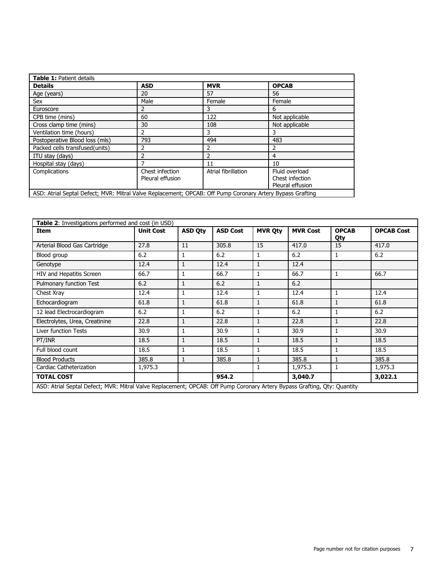| Table 1: Patient details                                                                                  |                                     |                     |                                                       |  |  |  |  |  |  |
|-----------------------------------------------------------------------------------------------------------|-------------------------------------|---------------------|-------------------------------------------------------|--|--|--|--|--|--|
| <b>Details</b>                                                                                            | <b>ASD</b>                          | <b>MVR</b>          | <b>OPCAB</b>                                          |  |  |  |  |  |  |
| Age (years)                                                                                               | 20                                  | 57                  | 56                                                    |  |  |  |  |  |  |
| Sex                                                                                                       | Male                                | Female              | Female                                                |  |  |  |  |  |  |
| Euroscore                                                                                                 | 2                                   | 3                   | 6                                                     |  |  |  |  |  |  |
| CPB time (mins)                                                                                           | 60                                  | 122                 | Not applicable                                        |  |  |  |  |  |  |
| Cross clamp time (mins)                                                                                   | 30                                  | 108                 | Not applicable                                        |  |  |  |  |  |  |
| Ventilation time (hours)                                                                                  | 2                                   | 3                   | 3                                                     |  |  |  |  |  |  |
| Postoperative Blood loss (mls)                                                                            | 793                                 | 494                 | 483                                                   |  |  |  |  |  |  |
| Packed cells transfused(units)                                                                            | 2                                   | 2                   | 2                                                     |  |  |  |  |  |  |
| ITU stay (days)                                                                                           | 2                                   | 2                   | $\overline{4}$                                        |  |  |  |  |  |  |
| Hospital stay (days)                                                                                      |                                     | 11                  | 10                                                    |  |  |  |  |  |  |
| Complications                                                                                             | Chest infection<br>Pleural effusion | Atrial fibrillation | Fluid overload<br>Chest infection<br>Pleural effusion |  |  |  |  |  |  |
| ASD: Atrial Septal Defect; MVR: Mitral Valve Replacement; OPCAB: Off Pump Coronary Artery Bypass Grafting |                                     |                     |                                                       |  |  |  |  |  |  |

| Table 2: Investigations performed and cost (in USD)                                                                      |                  |                |                 |                |                 |                     |                   |  |  |
|--------------------------------------------------------------------------------------------------------------------------|------------------|----------------|-----------------|----------------|-----------------|---------------------|-------------------|--|--|
| Item                                                                                                                     | <b>Unit Cost</b> | <b>ASD Qty</b> | <b>ASD Cost</b> | <b>MVR Oty</b> | <b>MVR Cost</b> | <b>OPCAB</b><br>Qty | <b>OPCAB Cost</b> |  |  |
| Arterial Blood Gas Cartridge                                                                                             | 27.8             | 11             | 305.8           | 15             | 417.0           | 15                  | 417.0             |  |  |
| Blood group                                                                                                              | 6.2              | 1              | 6.2             | $\mathbf{1}$   | 6.2             | 1                   | 6.2               |  |  |
| Genotype                                                                                                                 | 12.4             | $\mathbf{1}$   | 12.4            | $\mathbf{1}$   | 12.4            |                     |                   |  |  |
| HIV and Hepatitis Screen                                                                                                 | 66.7             | 1              | 66.7            | $\mathbf{1}$   | 66.7            | 1                   | 66.7              |  |  |
| Pulmonary function Test                                                                                                  | 6.2              | 1              | 6.2             | $\mathbf{1}$   | 6.2             |                     |                   |  |  |
| Chest Xray                                                                                                               | 12.4             | 1              | 12.4            | $\mathbf{1}$   | 12.4            | 1                   | 12.4              |  |  |
| Echocardiogram                                                                                                           | 61.8             | $\mathbf{1}$   | 61.8            | $\mathbf{1}$   | 61.8            | 1                   | 61.8              |  |  |
| 12 lead Electrocardiogram                                                                                                | 6.2              | 1              | 6.2             | 1              | 6.2             | 1                   | 6.2               |  |  |
| Electrolytes, Urea, Creatinine                                                                                           | 22.8             | 1              | 22.8            | 1              | 22.8            | 1                   | 22.8              |  |  |
| Liver function Tests                                                                                                     | 30.9             |                | 30.9            | 1              | 30.9            |                     | 30.9              |  |  |
| PT/INR                                                                                                                   | 18.5             | 1              | 18.5            | 1              | 18.5            | 1                   | 18.5              |  |  |
| Full blood count                                                                                                         | 18.5             | 1              | 18.5            | 1              | 18.5            | 1                   | 18.5              |  |  |
| <b>Blood Products</b>                                                                                                    | 385.8            | 1              | 385.8           | 1              | 385.8           | 1                   | 385.8             |  |  |
| Cardiac Catheterization                                                                                                  | 1,975.3          |                |                 | 1              | 1,975.3         | 1                   | 1,975.3           |  |  |
| <b>TOTAL COST</b>                                                                                                        |                  |                | 954.2           |                | 3,040.7         |                     | 3,022.1           |  |  |
| ASD: Atrial Septal Defect; MVR: Mitral Valve Replacement; OPCAB: Off Pump Coronary Artery Bypass Grafting, Qty: Quantity |                  |                |                 |                |                 |                     |                   |  |  |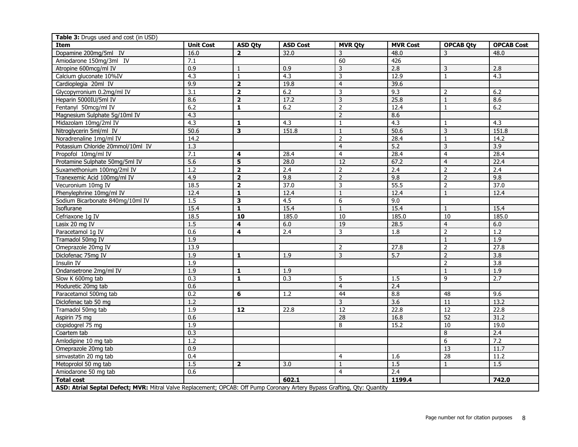| Table 3: Drugs used and cost (in USD)                                                                                    |                  |                         |                 |                         |                   |                  |                   |  |
|--------------------------------------------------------------------------------------------------------------------------|------------------|-------------------------|-----------------|-------------------------|-------------------|------------------|-------------------|--|
| <b>Item</b>                                                                                                              | <b>Unit Cost</b> | <b>ASD Qty</b>          | <b>ASD Cost</b> | <b>MVR Qty</b>          | <b>MVR Cost</b>   | <b>OPCAB Qty</b> | <b>OPCAB Cost</b> |  |
| Dopamine 200mg/5ml IV                                                                                                    | 16.0             | $\overline{2}$          | 32.0            | 3                       | 48.0              | 3                | 48.0              |  |
| Amiodarone 150mg/3ml IV                                                                                                  | 7.1              |                         |                 | 60                      | 426               |                  |                   |  |
| Atropine 600mcg/ml IV                                                                                                    | 0.9              | $\mathbf{1}$            | 0.9             | $\mathsf 3$             | 2.8               | $\mathsf{3}$     | 2.8               |  |
| Calcium gluconate 10%IV                                                                                                  | 4.3              | $\mathbf{1}$            | 4.3             | $\overline{3}$          | 12.9              | $\mathbf{1}$     | 4.3               |  |
| Cardioplegia 20ml IV                                                                                                     | 9.9              | $\overline{2}$          | 19.8            | $\overline{4}$          | 39.6              |                  |                   |  |
| Glycopyrronium 0.2mg/ml IV                                                                                               | 3.1              | $\overline{\mathbf{2}}$ | 6.2             | $\overline{\mathbf{3}}$ | 9.3               | $\overline{2}$   | 6.2               |  |
| Heparin 5000IU/5ml IV                                                                                                    | 8.6              | $\overline{2}$          | 17.2            |                         | 25.8              | $\overline{1}$   | 8.6               |  |
| Fentanyl 50mcg/ml IV                                                                                                     | 6.2              | $\mathbf{1}$            | 6.2             | $\overline{2}$          | 12.4              | $\mathbf{1}$     | 6.2               |  |
| Magnesium Sulphate 5g/10ml IV                                                                                            | 4.3              |                         |                 | $\overline{2}$          | 8.6               |                  |                   |  |
| Midazolam 10mg/2ml IV                                                                                                    | 4.3              | 1                       | 4.3             | $\mathbf{1}$            | 4.3               | $\mathbf{1}$     | 4.3               |  |
| Nitroglycerin 5ml/ml IV                                                                                                  | 50.6             | 3                       | 151.8           | $\,1\,$                 | 50.6              | 3                | 151.8             |  |
| Noradrenaline 1mg/ml IV                                                                                                  | 14.2             |                         |                 | $\overline{2}$          | 28.4              | $\mathbf{1}$     | 14.2              |  |
| Potassium Chloride 20mmol/10ml IV                                                                                        | 1.3              |                         |                 | $\overline{4}$          | 5.2               | 3                | 3.9               |  |
| Propofol 10mg/ml IV                                                                                                      | 7.1              | 4                       | 28.4            | $\overline{4}$          | 28.4              | $\overline{4}$   | 28.4              |  |
| Protamine Sulphate 50mg/5ml IV                                                                                           | 5.6              | $\overline{\mathbf{5}}$ | 28.0            | $\overline{12}$         | 67.2              | $\overline{4}$   | 22.4              |  |
| Suxamethonium 100mg/2ml IV                                                                                               | 1.2              | $\overline{2}$          | 2.4             | $\overline{2}$          | 2.4               | $\overline{2}$   | 2.4               |  |
| Tranexemic Acid 100mg/ml IV                                                                                              | 4.9              | $\overline{\mathbf{2}}$ | 9.8             | $\overline{2}$          | 9.8               | $\overline{2}$   | 9.8               |  |
| Vecuronium 10mg IV                                                                                                       | 18.5             | $\overline{2}$          | 37.0            | $\overline{\mathbf{3}}$ | 55.5              | $\overline{2}$   | 37.0              |  |
| Phenylephrine 10mg/ml IV                                                                                                 | 12.4             | $\overline{\mathbf{1}}$ | 12.4            | $\overline{1}$          | 12.4              | $\,1\,$          | 12.4              |  |
| Sodium Bicarbonate 840mg/10ml IV                                                                                         | 1.5              | 3                       | 4.5             | 6                       | 9.0               |                  |                   |  |
| Isoflurane                                                                                                               | 15.4             | $\mathbf{1}$            | 15.4            | $\mathbf{1}$            | 15.4              | $\mathbf{1}$     | 15.4              |  |
| Cefriaxone 1g IV                                                                                                         | 18.5             | 10                      | 185.0           | $\overline{10}$         | 185.0             | 10               | 185.0             |  |
| Lasix 20 mg IV                                                                                                           | 1.5              | 4                       | 6.0             | 19                      | 28.5              | $\overline{4}$   | 6.0               |  |
| Paracetamol 1g IV                                                                                                        | 0.6              | 4                       | 2.4             | $\overline{3}$          | 1.8               | $\overline{2}$   | 1.2               |  |
| Tramadol 50mg IV                                                                                                         | 1.9              |                         |                 |                         |                   | $\mathbf{1}$     | 1.9               |  |
| Omeprazole 20mg IV                                                                                                       | 13.9             |                         |                 | $\overline{2}$          | $\overline{27.8}$ | $\overline{2}$   | 27.8              |  |
| Diclofenac 75mg IV                                                                                                       | 1.9              | $\mathbf{1}$            | 1.9             | $\overline{3}$          | 5.7               | $\overline{2}$   | $\overline{3.8}$  |  |
| <b>Insulin IV</b>                                                                                                        | 1.9              |                         |                 |                         |                   | $\overline{2}$   | $\overline{3.8}$  |  |
| Ondansetrone 2mg/ml IV                                                                                                   | 1.9              | $\mathbf{1}$            | 1.9             |                         |                   | $\mathbf{1}$     | 1.9               |  |
| Slow K 600mg tab                                                                                                         | 0.3              | $\mathbf{1}$            | 0.3             | $\sqrt{5}$              | 1.5               | 9                | 2.7               |  |
| Moduretic 20mg tab                                                                                                       | 0.6              |                         |                 | $\overline{4}$          | 2.4               |                  |                   |  |
| Paracetamol 500mg tab                                                                                                    | 0.2              | 6                       | 1.2             | 44                      | 8.8               | 48               | 9.6               |  |
| Diclofenac tab 50 mg                                                                                                     | 1.2              |                         |                 | $\overline{\mathbf{3}}$ | 3.6               | $\overline{11}$  | 13.2              |  |
| Tramadol 50mg tab                                                                                                        | 1.9              | $\overline{12}$         | 22.8            | 12                      | 22.8              | 12               | 22.8              |  |
| Aspirin 75 mg                                                                                                            | 0.6              |                         |                 | 28                      | 16.8              | 52               | 31.2              |  |
| clopidogrel 75 mg                                                                                                        | 1.9              |                         |                 | 8                       | 15.2              | $\overline{10}$  | 19.0              |  |
| Coartem tab                                                                                                              | 0.3              |                         |                 |                         |                   | $\overline{8}$   | 2.4               |  |
| Amlodipine 10 mg tab                                                                                                     | 1.2              |                         |                 |                         |                   | $\boldsymbol{6}$ | 7.2               |  |
| Omeprazole 20mg tab                                                                                                      | 0.9              |                         |                 |                         |                   | 13               | 11.7              |  |
| simvastatin 20 mg tab                                                                                                    | 0.4              |                         |                 | $\overline{4}$          | 1.6               | 28               | 11.2              |  |
| Metoprolol 50 mg tab                                                                                                     | 1.5              | $\mathbf{2}$            | 3.0             | $\mathbf{1}$            | 1.5               | $\mathbf{1}$     | 1.5               |  |
| Amiodarone 50 mg tab                                                                                                     | 0.6              |                         |                 | $\overline{4}$          | 2.4               |                  |                   |  |
| <b>Total cost</b>                                                                                                        |                  |                         | 602.1           |                         | 1199.4            |                  | 742.0             |  |
| ASD: Atrial Septal Defect; MVR: Mitral Valve Replacement; OPCAB: Off Pump Coronary Artery Bypass Grafting, Qty: Quantity |                  |                         |                 |                         |                   |                  |                   |  |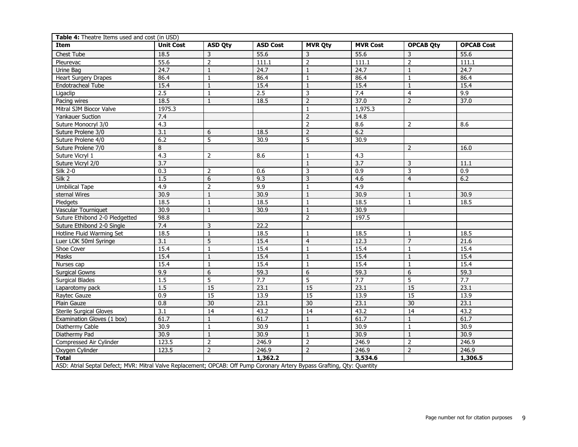| Table 4: Theatre Items used and cost (in USD)                                                                            |                  |                |                 |                |                 |                  |                   |  |  |
|--------------------------------------------------------------------------------------------------------------------------|------------------|----------------|-----------------|----------------|-----------------|------------------|-------------------|--|--|
| <b>Item</b>                                                                                                              | <b>Unit Cost</b> | <b>ASD Qty</b> | <b>ASD Cost</b> | <b>MVR Qty</b> | <b>MVR Cost</b> | <b>OPCAB Qty</b> | <b>OPCAB Cost</b> |  |  |
| <b>Chest Tube</b>                                                                                                        | 18.5             | $\overline{3}$ | 55.6            | 3              | 55.6            | 3                | 55.6              |  |  |
| Pleurevac                                                                                                                | 55.6             | $\overline{2}$ | 111.1           | $\overline{2}$ | 111.1           | $\overline{2}$   | 111.1             |  |  |
| Urine Bag                                                                                                                | 24.7             | 1              | 24.7            | 1              | 24.7            | $\mathbf{1}$     | 24.7              |  |  |
| <b>Heart Surgery Drapes</b>                                                                                              | 86.4             | $\mathbf{1}$   | 86.4            | $\mathbf{1}$   | 86.4            | $\mathbf{1}$     | 86.4              |  |  |
| Endotracheal Tube                                                                                                        | 15.4             | $\mathbf{1}$   | 15.4            | $\mathbf{1}$   | 15.4            | $\mathbf{1}$     | 15.4              |  |  |
| Ligaclip                                                                                                                 | 2.5              | $\mathbf{1}$   | 2.5             | 3              | 7.4             | $\overline{4}$   | 9.9               |  |  |
| Pacing wires                                                                                                             | 18.5             | $\mathbf{1}$   | 18.5            | $\overline{2}$ | 37.0            | $\overline{2}$   | 37.0              |  |  |
| Mitral SJM Biocor Valve                                                                                                  | 1975.3           |                |                 | $\mathbf{1}$   | 1,975.3         |                  |                   |  |  |
| <b>Yankauer Suction</b>                                                                                                  | 7.4              |                |                 | $\overline{2}$ | 14.8            |                  |                   |  |  |
| Suture Monocryl 3/0                                                                                                      | 4.3              |                |                 | $\overline{2}$ | 8.6             | 2                | 8.6               |  |  |
| Suture Prolene 3/0                                                                                                       | 3.1              | 6              | 18.5            | $\overline{2}$ | 6.2             |                  |                   |  |  |
| Suture Prolene 4/0                                                                                                       | 6.2              | 5              | 30.9            | 5              | 30.9            |                  |                   |  |  |
| Suture Prolene 7/0                                                                                                       | 8                |                |                 |                |                 | 2                | 16.0              |  |  |
| Suture Vicryl 1                                                                                                          | 4.3              | 2              | 8.6             | 1              | 4.3             |                  |                   |  |  |
| Suture Vicryl 2/0                                                                                                        | 3.7              |                |                 | $\mathbf{1}$   | 3.7             | $\mathsf 3$      | 11.1              |  |  |
| <b>Silk 2-0</b>                                                                                                          | 0.3              | $\overline{2}$ | 0.6             | 3              | 0.9             | 3                | $\overline{0.9}$  |  |  |
| Silk 2                                                                                                                   | 1.5              | 6              | 9.3             | 3              | 4.6             | $\overline{4}$   | 6.2               |  |  |
| <b>Umbilical Tape</b>                                                                                                    | 4.9              | $\overline{2}$ | 9.9             | $\mathbf{1}$   | 4.9             |                  |                   |  |  |
| sternal Wires                                                                                                            | 30.9             | $\mathbf{1}$   | 30.9            | $\mathbf{1}$   | 30.9            | $\mathbf{1}$     | 30.9              |  |  |
| Pledgets                                                                                                                 | 18.5             | $\overline{1}$ | 18.5            | $\mathbf{1}$   | 18.5            | $\mathbf{1}$     | 18.5              |  |  |
| Vascular Tourniquet                                                                                                      | 30.9             | $\mathbf{1}$   | 30.9            | $\mathbf{1}$   | 30.9            |                  |                   |  |  |
| Suture Ethibond 2-0 Pledgetted                                                                                           | 98.8             |                |                 | $\overline{2}$ | 197.5           |                  |                   |  |  |
| Suture Ethibond 2-0 Single                                                                                               | 7.4              | $\overline{3}$ | 22.2            |                |                 |                  |                   |  |  |
| Hotline Fluid Warming Set                                                                                                | 18.5             | $\overline{1}$ | 18.5            | $\mathbf{1}$   | 18.5            | $\mathbf{1}$     | 18.5              |  |  |
| Luer LOK 50ml Syringe                                                                                                    | 3.1              | 5              | 15.4            | $\overline{4}$ | 12.3            | $\overline{7}$   | 21.6              |  |  |
| Shoe Cover                                                                                                               | 15.4             | $\mathbf{1}$   | 15.4            | $\mathbf{1}$   | 15.4            | $\mathbf{1}$     | 15.4              |  |  |
| Masks                                                                                                                    | 15.4             | $\mathbf{1}$   | 15.4            | $\mathbf{1}$   | 15.4            | $\mathbf{1}$     | 15.4              |  |  |
| Nurses cap                                                                                                               | 15.4             | $\mathbf{1}$   | 15.4            | $\mathbf{1}$   | 15.4            | $\mathbf{1}$     | 15.4              |  |  |
| <b>Surgical Gowns</b>                                                                                                    | 9.9              | $\overline{6}$ | 59.3            | $\overline{6}$ | 59.3            | $\overline{6}$   | 59.3              |  |  |
| <b>Surgical Blades</b>                                                                                                   | 1.5              | $\overline{5}$ | 7.7             | $\overline{5}$ | 7.7             | $\overline{5}$   | 7.7               |  |  |
| Laparotomy pack                                                                                                          | 1.5              | 15             | 23.1            | 15             | 23.1            | 15               | 23.1              |  |  |
| Raytec Gauze                                                                                                             | 0.9              | 15             | 13.9            | 15             | 13.9            | 15               | 13.9              |  |  |
| Plain Gauze                                                                                                              | 0.8              | 30             | 23.1            | 30             | 23.1            | 30               | 23.1              |  |  |
| <b>Sterile Surgical Gloves</b>                                                                                           | 3.1              | 14             | 43.2            | 14             | 43.2            | 14               | 43.2              |  |  |
| Examination Gloves (1 box)                                                                                               | 61.7             | $\mathbf{1}$   | 61.7            | $\mathbf{1}$   | 61.7            | $\mathbf{1}$     | 61.7              |  |  |
| Diathermy Cable                                                                                                          | 30.9             | $\mathbf{1}$   | 30.9            | $\mathbf{1}$   | 30.9            | $\mathbf{1}$     | 30.9              |  |  |
| Diathermy Pad                                                                                                            | 30.9             | $\mathbf{1}$   | 30.9            | $\mathbf{1}$   | 30.9            | $\mathbf{1}$     | 30.9              |  |  |
| Compressed Air Cylinder                                                                                                  | 123.5            | $\overline{2}$ | 246.9           | $\overline{2}$ | 246.9           | $\overline{2}$   | 246.9             |  |  |
| Oxygen Cylinder                                                                                                          | 123.5            | $\overline{2}$ | 246.9           | $\overline{2}$ | 246.9           | $\overline{2}$   | 246.9             |  |  |
| <b>Total</b>                                                                                                             |                  |                | 1,362.2         |                | 3,534.6         |                  | 1,306.5           |  |  |
| ASD: Atrial Septal Defect; MVR: Mitral Valve Replacement; OPCAB: Off Pump Coronary Artery Bypass Grafting, Qty: Quantity |                  |                |                 |                |                 |                  |                   |  |  |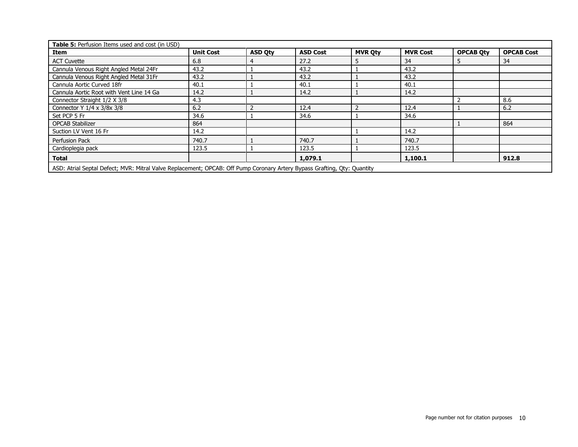| Table 5: Perfusion Items used and cost (in USD)                                                                          |                  |                |                 |                |                 |                  |                   |  |
|--------------------------------------------------------------------------------------------------------------------------|------------------|----------------|-----------------|----------------|-----------------|------------------|-------------------|--|
| Item                                                                                                                     | <b>Unit Cost</b> | <b>ASD Qty</b> | <b>ASD Cost</b> | <b>MVR Qty</b> | <b>MVR Cost</b> | <b>OPCAB Oty</b> | <b>OPCAB Cost</b> |  |
| <b>ACT Cuvette</b>                                                                                                       | 6.8              |                | 27.2            | ь              | 34              |                  | 34                |  |
| Cannula Venous Right Angled Metal 24Fr                                                                                   | 43.2             |                | 43.2            |                | 43.2            |                  |                   |  |
| Cannula Venous Right Angled Metal 31Fr                                                                                   | 43.2             |                | 43.2            |                | 43.2            |                  |                   |  |
| Cannula Aortic Curved 18fr                                                                                               | 40.1             |                | 40.1            |                | 40.1            |                  |                   |  |
| Cannula Aortic Root with Vent Line 14 Ga                                                                                 | 14.2             |                | 14.2            |                | 14.2            |                  |                   |  |
| Connector Straight 1/2 X 3/8                                                                                             | 4.3              |                |                 |                |                 |                  | 8.6               |  |
| Connector Y 1/4 x 3/8x 3/8                                                                                               | 6.2              |                | 12.4            |                | 12.4            |                  | 6.2               |  |
| Set PCP 5 Fr                                                                                                             | 34.6             |                | 34.6            |                | 34.6            |                  |                   |  |
| <b>OPCAB Stabilizer</b>                                                                                                  | 864              |                |                 |                |                 |                  | 864               |  |
| Suction LV Vent 16 Fr                                                                                                    | 14.2             |                |                 |                | 14.2            |                  |                   |  |
| Perfusion Pack                                                                                                           | 740.7            |                | 740.7           |                | 740.7           |                  |                   |  |
| Cardioplegia pack                                                                                                        | 123.5            |                | 123.5           |                | 123.5           |                  |                   |  |
| <b>Total</b>                                                                                                             |                  |                | 1,079.1         |                | 1,100.1         |                  | 912.8             |  |
| ASD: Atrial Septal Defect; MVR: Mitral Valve Replacement; OPCAB: Off Pump Coronary Artery Bypass Grafting, Oty: Quantity |                  |                |                 |                |                 |                  |                   |  |

Page number not for citation purposes 10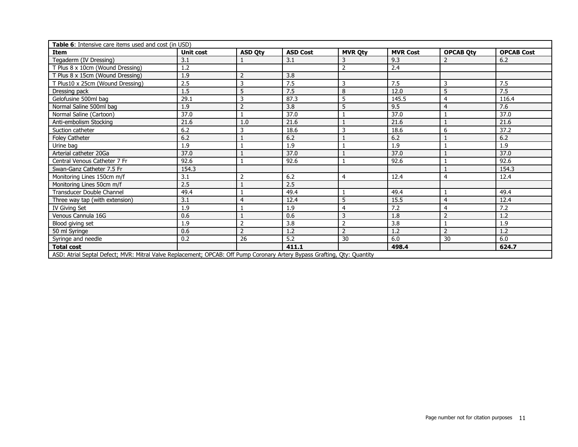| Table 6: Intensive care items used and cost (in USD)                                                                     |                  |                |                 |                |                 |                  |                   |  |
|--------------------------------------------------------------------------------------------------------------------------|------------------|----------------|-----------------|----------------|-----------------|------------------|-------------------|--|
| <b>Item</b>                                                                                                              | <b>Unit cost</b> | <b>ASD Qty</b> | <b>ASD Cost</b> | <b>MVR Qty</b> | <b>MVR Cost</b> | <b>OPCAB Qty</b> | <b>OPCAB Cost</b> |  |
| Tegaderm (IV Dressing)                                                                                                   | 3.1              |                | 3.1             | 3              | 9.3             | 2                | 6.2               |  |
| T Plus 8 x 10cm (Wound Dressing)                                                                                         | 1.2              |                |                 | $\overline{2}$ | 2.4             |                  |                   |  |
| T Plus 8 x 15cm (Wound Dressing)                                                                                         | 1.9              | $\overline{2}$ | 3.8             |                |                 |                  |                   |  |
| T Plus10 x 25cm (Wound Dressing)                                                                                         | 2.5              | 3              | 7.5             | 3              | 7.5             | 3                | 7.5               |  |
| Dressing pack                                                                                                            | 1.5              | 5              | 7.5             | 8              | 12.0            | 5                | 7.5               |  |
| Gelofusine 500ml bag                                                                                                     | 29.1             | 3              | 87.3            | 5              | 145.5           | 4                | 116.4             |  |
| Normal Saline 500ml bag                                                                                                  | 1.9              | $\overline{2}$ | 3.8             | 5              | 9.5             | 4                | 7.6               |  |
| Normal Saline (Cartoon)                                                                                                  | 37.0             | $\mathbf{1}$   | 37.0            |                | 37.0            |                  | 37.0              |  |
| Anti-embolism Stocking                                                                                                   | 21.6             | 1.0            | 21.6            |                | 21.6            |                  | 21.6              |  |
| Suction catheter                                                                                                         | 6.2              | 3              | 18.6            | 3              | 18.6            | 6                | 37.2              |  |
| <b>Foley Catheter</b>                                                                                                    | 6.2              |                | 6.2             |                | 6.2             |                  | 6.2               |  |
| Urine bag                                                                                                                | 1.9              |                | 1.9             |                | 1.9             |                  | 1.9               |  |
| Arterial catheter 20Ga                                                                                                   | 37.0             |                | 37.0            |                | 37.0            |                  | 37.0              |  |
| Central Venous Catheter 7 Fr                                                                                             | 92.6             |                | 92.6            |                | 92.6            |                  | 92.6              |  |
| Swan-Ganz Catheter 7.5 Fr                                                                                                | 154.3            |                |                 |                |                 |                  | 154.3             |  |
| Monitoring Lines 150cm m/f                                                                                               | 3.1              | $\overline{2}$ | 6.2             | 4              | 12.4            | 4                | 12.4              |  |
| Monitoring Lines 50cm m/f                                                                                                | 2.5              |                | 2.5             |                |                 |                  |                   |  |
| Transducer Double Channel                                                                                                | 49.4             |                | 49.4            |                | 49.4            |                  | 49.4              |  |
| Three way tap (with extension)                                                                                           | 3.1              | $\overline{4}$ | 12.4            | 5              | 15.5            | $\overline{4}$   | 12.4              |  |
| IV Giving Set                                                                                                            | 1.9              |                | 1.9             | 4              | 7.2             | 4                | 7.2               |  |
| Venous Cannula 16G                                                                                                       | 0.6              |                | 0.6             | 3              | 1.8             | 2                | 1.2               |  |
| Blood giving set                                                                                                         | 1.9              | $\overline{2}$ | 3.8             | $\overline{2}$ | 3.8             |                  | 1.9               |  |
| 50 ml Syringe                                                                                                            | 0.6              | $\overline{2}$ | 1.2             | $\overline{2}$ | 1.2             | $\overline{2}$   | 1.2               |  |
| Syringe and needle                                                                                                       | 0.2              | 26             | 5.2             | 30             | 6.0             | 30               | 6.0               |  |
| <b>Total cost</b>                                                                                                        |                  |                | 411.1           |                | 498.4           |                  | 624.7             |  |
| ASD: Atrial Septal Defect; MVR: Mitral Valve Replacement; OPCAB: Off Pump Coronary Artery Bypass Grafting, Qty: Quantity |                  |                |                 |                |                 |                  |                   |  |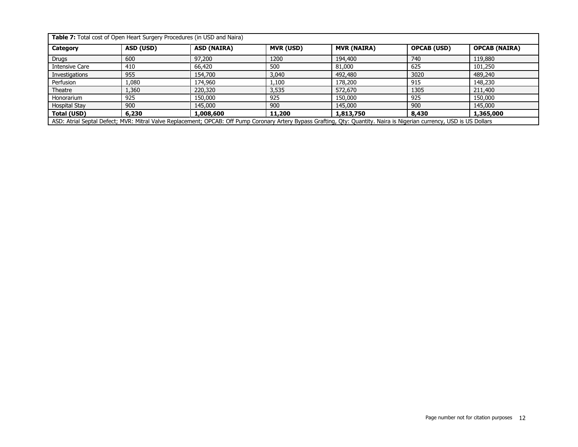| Table 7: Total cost of Open Heart Surgery Procedures (in USD and Naira) |                                                                                                                                                                         |                    |                  |                    |                    |                      |  |  |  |
|-------------------------------------------------------------------------|-------------------------------------------------------------------------------------------------------------------------------------------------------------------------|--------------------|------------------|--------------------|--------------------|----------------------|--|--|--|
| Category                                                                | ASD (USD)                                                                                                                                                               | <b>ASD (NAIRA)</b> | <b>MVR (USD)</b> | <b>MVR (NAIRA)</b> | <b>OPCAB (USD)</b> | <b>OPCAB (NAIRA)</b> |  |  |  |
| <b>Drugs</b>                                                            | 600                                                                                                                                                                     | 97,200             | 1200             | 194,400            | 740                | 119,880              |  |  |  |
| <b>Intensive Care</b>                                                   | 410                                                                                                                                                                     | 66,420             | 500              | 81,000             | 625                | 101,250              |  |  |  |
| Investigations                                                          | 955                                                                                                                                                                     | 154,700            | 3.040            | 492,480            | 3020               | 489,240              |  |  |  |
| Perfusion                                                               | 1,080                                                                                                                                                                   | 174,960            | 1,100            | 178,200            | 915                | 148,230              |  |  |  |
| Theatre                                                                 | 1,360                                                                                                                                                                   | 220,320            | 3,535            | 572,670            | 1305               | 211,400              |  |  |  |
| Honorarium                                                              | 925                                                                                                                                                                     | 150,000            | 925              | 150,000            | 925                | 150,000              |  |  |  |
| <b>Hospital Stay</b>                                                    | 900                                                                                                                                                                     | 145,000            | 900              | 145,000            | 900                | 145,000              |  |  |  |
| <b>Total (USD)</b>                                                      | 6,230                                                                                                                                                                   | 1,008,600          | 11,200           | 1,813,750          | 8,430              | 1,365,000            |  |  |  |
|                                                                         | ASD: Atrial Septal Defect; MVR: Mitral Valve Replacement; OPCAB: Off Pump Coronary Artery Bypass Grafting, Qty: Quantity. Naira is Nigerian currency, USD is US Dollars |                    |                  |                    |                    |                      |  |  |  |